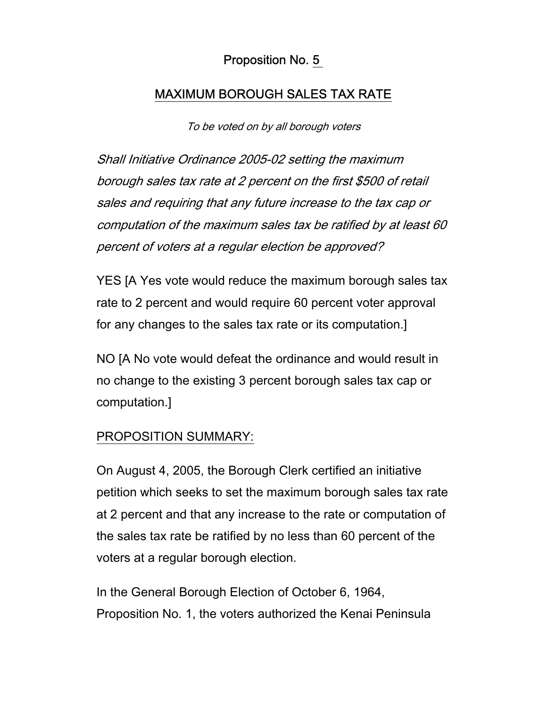## Proposition No. 5

## MAXIMUM BOROUGH SALES TAX RATE

To be voted on by all borough voters

Shall Initiative Ordinance 2005-02 setting the maximum borough sales tax rate at 2 percent on the first \$500 of retail sales and requiring that any future increase to the tax cap or computation of the maximum sales tax be ratified by at least 60 percent of voters at a regular election be approved?

YES [A Yes vote would reduce the maximum borough sales tax rate to 2 percent and would require 60 percent voter approval for any changes to the sales tax rate or its computation.]

NO [A No vote would defeat the ordinance and would result in no change to the existing 3 percent borough sales tax cap or computation.]

## PROPOSITION SUMMARY:

On August 4, 2005, the Borough Clerk certified an initiative petition which seeks to set the maximum borough sales tax rate at 2 percent and that any increase to the rate or computation of the sales tax rate be ratified by no less than 60 percent of the voters at a regular borough election.

In the General Borough Election of October 6, 1964, Proposition No. 1, the voters authorized the Kenai Peninsula